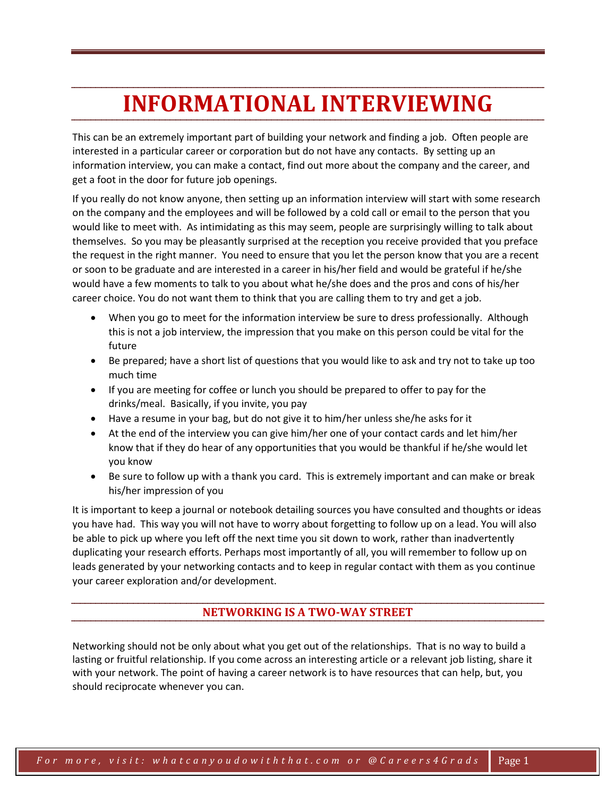# **INFORMATIONAL INTERVIEWING**

This can be an extremely important part of building your network and finding a job. Often people are interested in a particular career or corporation but do not have any contacts. By setting up an information interview, you can make a contact, find out more about the company and the career, and get a foot in the door for future job openings.

If you really do not know anyone, then setting up an information interview will start with some research on the company and the employees and will be followed by a cold call or email to the person that you would like to meet with. As intimidating as this may seem, people are surprisingly willing to talk about themselves. So you may be pleasantly surprised at the reception you receive provided that you preface the request in the right manner. You need to ensure that you let the person know that you are a recent or soon to be graduate and are interested in a career in his/her field and would be grateful if he/she would have a few moments to talk to you about what he/she does and the pros and cons of his/her career choice. You do not want them to think that you are calling them to try and get a job.

- When you go to meet for the information interview be sure to dress professionally. Although this is not a job interview, the impression that you make on this person could be vital for the future
- Be prepared; have a short list of questions that you would like to ask and try not to take up too much time
- If you are meeting for coffee or lunch you should be prepared to offer to pay for the drinks/meal. Basically, if you invite, you pay
- Have a resume in your bag, but do not give it to him/her unless she/he asks for it
- At the end of the interview you can give him/her one of your contact cards and let him/her know that if they do hear of any opportunities that you would be thankful if he/she would let you know
- Be sure to follow up with a thank you card. This is extremely important and can make or break his/her impression of you

It is important to keep a journal or notebook detailing sources you have consulted and thoughts or ideas you have had. This way you will not have to worry about forgetting to follow up on a lead. You will also be able to pick up where you left off the next time you sit down to work, rather than inadvertently duplicating your research efforts. Perhaps most importantly of all, you will remember to follow up on leads generated by your networking contacts and to keep in regular contact with them as you continue your career exploration and/or development.

# **NETWORKING IS A TWO-WAY STREET**

Networking should not be only about what you get out of the relationships. That is no way to build a lasting or fruitful relationship. If you come across an interesting article or a relevant job listing, share it with your network. The point of having a career network is to have resources that can help, but, you should reciprocate whenever you can.